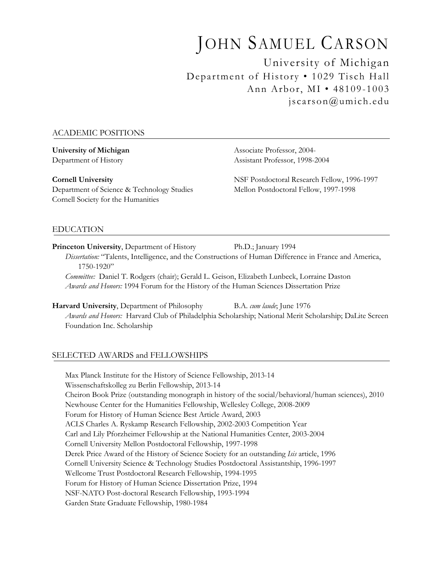# JOHN SAMUEL CARSON University of Michigan

Department of History • 1029 Tisch Hall Ann Arbor, MI • 48109-1003 jscarson@umich.edu

# ACADEMIC POSITIONS

Department of Science & Technology Studies Mellon Postdoctoral Fellow, 1997-1998 Cornell Society for the Humanities

**University of Michigan** Associate Professor, 2004-Department of History Assistant Professor, 1998-2004

**Cornell University** NSF Postdoctoral Research Fellow, 1996-1997

# EDUCATION

**Princeton University**, Department of History Ph.D.; January 1994 *Dissertation:* "Talents, Intelligence, and the Constructions of Human Difference in France and America, 1750-1920"

*Committee:* Daniel T. Rodgers (chair); Gerald L. Geison, Elizabeth Lunbeck, Lorraine Daston *Awards and Honors:* 1994 Forum for the History of the Human Sciences Dissertation Prize

**Harvard University**, Department of Philosophy B.A. *cum laude*; June 1976 *Awards and Honors:* Harvard Club of Philadelphia Scholarship; National Merit Scholarship; DaLite Screen Foundation Inc. Scholarship

# SELECTED AWARDS and FELLOWSHIPS

Max Planck Institute for the History of Science Fellowship, 2013-14 Wissenschaftskolleg zu Berlin Fellowship, 2013-14 Cheiron Book Prize (outstanding monograph in history of the social/behavioral/human sciences), 2010 Newhouse Center for the Humanities Fellowship, Wellesley College, 2008-2009 Forum for History of Human Science Best Article Award, 2003 ACLS Charles A. Ryskamp Research Fellowship, 2002-2003 Competition Year Carl and Lily Pforzheimer Fellowship at the National Humanities Center, 2003-2004 Cornell University Mellon Postdoctoral Fellowship, 1997-1998 Derek Price Award of the History of Science Society for an outstanding *Isis* article, 1996 Cornell University Science & Technology Studies Postdoctoral Assistantship, 1996-1997 Wellcome Trust Postdoctoral Research Fellowship, 1994-1995 Forum for History of Human Science Dissertation Prize, 1994 NSF-NATO Post-doctoral Research Fellowship, 1993-1994 Garden State Graduate Fellowship, 1980-1984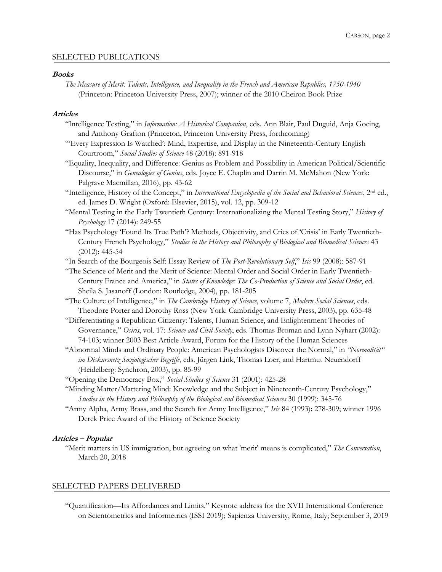## SELECTED PUBLICATIONS

#### **Books**

*The Measure of Merit: Talents, Intelligence, and Inequality in the French and American Republics, 1750-1940* (Princeton: Princeton University Press, 2007); winner of the 2010 Cheiron Book Prize

#### **Articles**

- "Intelligence Testing," in *Information: A Historical Companion*, eds. Ann Blair, Paul Duguid, Anja Goeing, and Anthony Grafton (Princeton, Princeton University Press, forthcoming)
- "'Every Expression Is Watched': Mind, Expertise, and Display in the Nineteenth-Century English Courtroom," *Social Studies of Science* 48 (2018): 891-918
- "Equality, Inequality, and Difference: Genius as Problem and Possibility in American Political/Scientific Discourse," in *Genealogies of Genius*, eds. Joyce E. Chaplin and Darrin M. McMahon (New York: Palgrave Macmillan, 2016), pp. 43-62
- "Intelligence, History of the Concept," in *International Encyclopedia of the Social and Behavioral Sciences*, 2nd ed., ed. James D. Wright (Oxford: Elsevier, 2015), vol. 12, pp. 309-12
- "Mental Testing in the Early Twentieth Century: Internationalizing the Mental Testing Story," *History of Psychology* 17 (2014): 249-55
- "Has Psychology 'Found Its True Path'? Methods, Objectivity, and Cries of 'Crisis' in Early Twentieth-Century French Psychology," *Studies in the History and Philosophy of Biological and Biomedical Sciences* 43 (2012): 445-54
- "In Search of the Bourgeois Self: Essay Review of *The Post-Revolutionary Self*," *Isis* 99 (2008): 587-91
- "The Science of Merit and the Merit of Science: Mental Order and Social Order in Early Twentieth-Century France and America," in *States of Knowledge: The Co-Production of Science and Social Order*, ed. Sheila S. Jasanoff (London: Routledge, 2004), pp. 181-205
- "The Culture of Intelligence," in *The Cambridge History of Science*, volume 7, *Modern Social Sciences*, eds. Theodore Porter and Dorothy Ross (New York: Cambridge University Press, 2003), pp. 635-48
- "Differentiating a Republican Citizenry: Talents, Human Science, and Enlightenment Theories of Governance," *Osiris*, vol. 17: *Science and Civil Society*, eds. Thomas Broman and Lynn Nyhart (2002): 74-103; winner 2003 Best Article Award, Forum for the History of the Human Sciences
- "Abnormal Minds and Ordinary People: American Psychologists Discover the Normal," in *"Normalität" im Diskursnetz Soziologischer Begriffe*, eds. Jürgen Link, Thomas Loer, and Hartmut Neuendorff (Heidelberg: Synchron, 2003), pp. 85-99
- "Opening the Democracy Box," *Social Studies of Science* 31 (2001): 425-28
- "Minding Matter/Mattering Mind: Knowledge and the Subject in Nineteenth-Century Psychology," *Studies in the History and Philosophy of the Biological and Biomedical Sciences* 30 (1999): 345-76
- "Army Alpha, Army Brass, and the Search for Army Intelligence," *Isis* 84 (1993): 278-309; winner 1996 Derek Price Award of the History of Science Society

#### **Articles – Popular**

"Merit matters in US immigration, but agreeing on what 'merit' means is complicated," *The Conversation*, March 20, 2018

## SELECTED PAPERS DELIVERED

"Quantification—Its Affordances and Limits." Keynote address for the XVII International Conference on Scientometrics and Informetrics (ISSI 2019); Sapienza University, Rome, Italy; September 3, 2019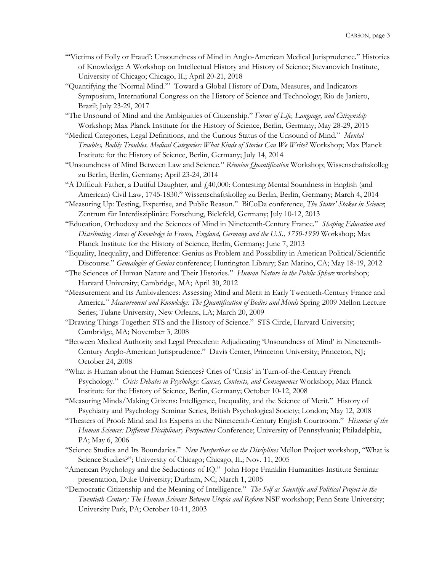- "'Victims of Folly or Fraud': Unsoundness of Mind in Anglo-American Medical Jurisprudence." Histories of Knowledge: A Workshop on Intellectual History and History of Science; Stevanovich Institute, University of Chicago; Chicago, IL; April 20-21, 2018
- "Quantifying the 'Normal Mind.'" Toward a Global History of Data, Measures, and Indicators Symposium, International Congress on the History of Science and Technology; Rio de Janiero, Brazil; July 23-29, 2017
- "The Unsound of Mind and the Ambiguities of Citizenship." *Forms of Life, Language, and Citizenship* Workshop; Max Planck Institute for the History of Science, Berlin, Germany; May 28-29, 2015
- "Medical Categories, Legal Definitions, and the Curious Status of the Unsound of Mind." *Mental Troubles, Bodily Troubles, Medical Categories: What Kinds of Stories Can We Write?* Workshop; Max Planck Institute for the History of Science, Berlin, Germany; July 14, 2014
- "Unsoundness of Mind Between Law and Science." *Réunion Quantification* Workshop; Wissenschaftskolleg zu Berlin, Berlin, Germany; April 23-24, 2014
- "A Difficult Father, a Dutiful Daughter, and  $\ell$ 40,000: Contesting Mental Soundness in English (and American) Civil Law, 1745-1830." Wissenschaftskolleg zu Berlin, Berlin, Germany; March 4, 2014
- "Measuring Up: Testing, Expertise, and Public Reason." BiCoDa conference, *The States' Stakes in Science*; Zentrum für Interdisziplinäre Forschung, Bielefeld, Germany; July 10-12, 2013
- "Education, Orthodoxy and the Sciences of Mind in Nineteenth-Century France." *Shaping Education and Distributing Areas of Knowledge in France, England, Germany and the U.S., 1750-1950* Workshop; Max Planck Institute for the History of Science, Berlin, Germany; June 7, 2013
- "Equality, Inequality, and Difference: Genius as Problem and Possibility in American Political/Scientific Discourse." *Genealogies of Genius* conference; Huntington Library; San Marino, CA; May 18-19, 2012
- "The Sciences of Human Nature and Their Histories." *Human Nature in the Public Sphere* workshop; Harvard University; Cambridge, MA; April 30, 2012
- "Measurement and Its Ambivalences: Assessing Mind and Merit in Early Twentieth-Century France and America." *Measurement and Knowledge: The Quantification of Bodies and Minds* Spring 2009 Mellon Lecture Series; Tulane University, New Orleans, LA; March 20, 2009
- "Drawing Things Together: STS and the History of Science." STS Circle, Harvard University; Cambridge, MA; November 3, 2008
- "Between Medical Authority and Legal Precedent: Adjudicating 'Unsoundness of Mind' in Nineteenth-Century Anglo-American Jurisprudence." Davis Center, Princeton University; Princeton, NJ; October 24, 2008
- "What is Human about the Human Sciences? Cries of 'Crisis' in Turn-of-the-Century French Psychology." *Crisis Debates in Psychology: Causes, Contexts, and Consequences* Workshop; Max Planck Institute for the History of Science, Berlin, Germany; October 10-12, 2008
- "Measuring Minds/Making Citizens: Intelligence, Inequality, and the Science of Merit." History of Psychiatry and Psychology Seminar Series, British Psychological Society; London; May 12, 2008
- "Theaters of Proof: Mind and Its Experts in the Nineteenth-Century English Courtroom." *Histories of the Human Sciences: Different Disciplinary Perspectives* Conference; University of Pennsylvania; Philadelphia, PA; May 6, 2006
- "Science Studies and Its Boundaries." *New Perspectives on the Disciplines* Mellon Project workshop, "What is Science Studies?"; University of Chicago; Chicago, IL; Nov. 11, 2005
- "American Psychology and the Seductions of IQ." John Hope Franklin Humanities Institute Seminar presentation, Duke University; Durham, NC; March 1, 2005
- "Democratic Citizenship and the Meaning of Intelligence." *The Self as Scientific and Political Project in the Twentieth Century: The Human Sciences Between Utopia and Reform* NSF workshop; Penn State University; University Park, PA; October 10-11, 2003